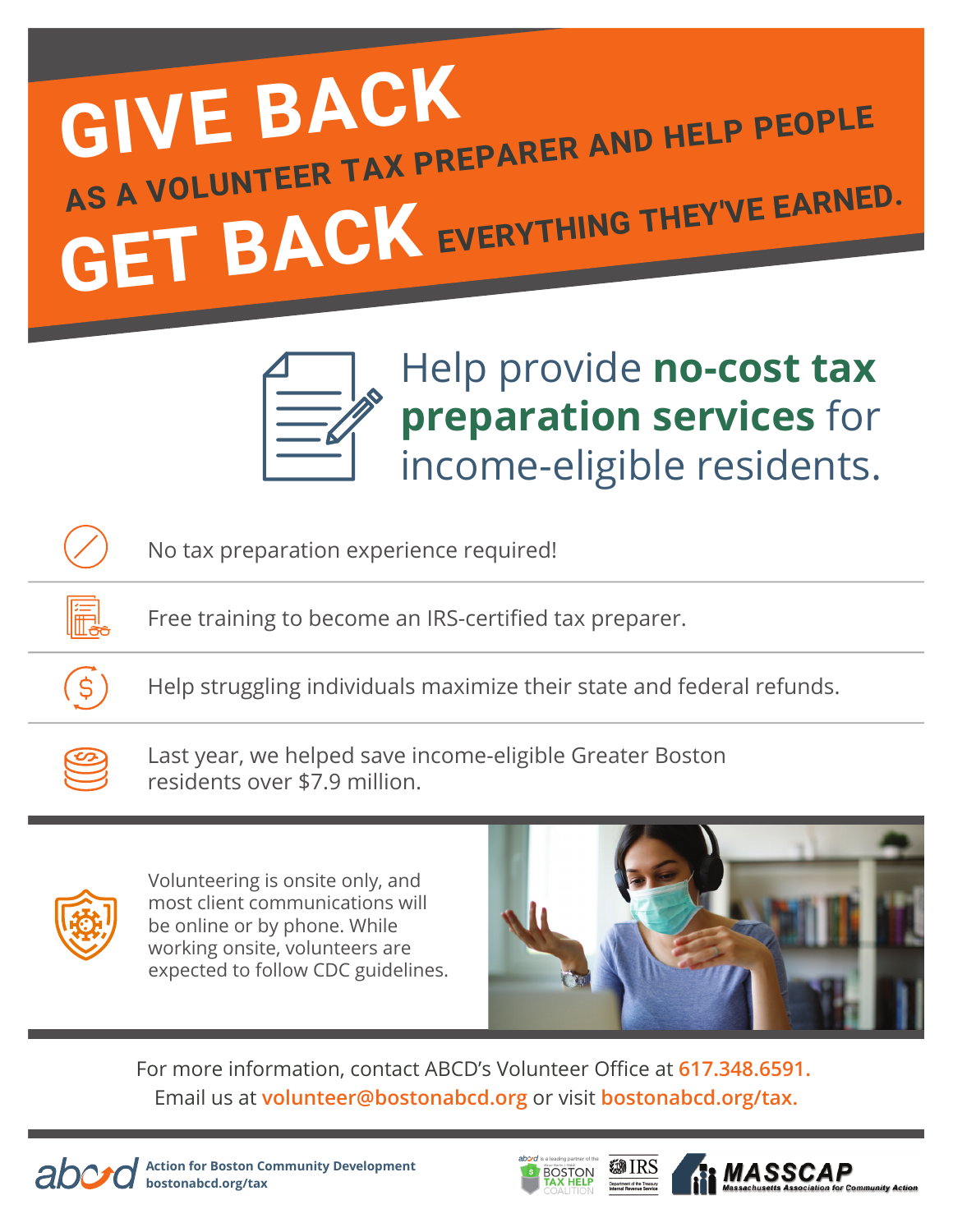## **GIVE BACK GET BACK** EVERYTHING THEY'VE EARNED. **AS A VOLUNTEER TAX PREPARER AND HELP PEOPLE**



Help provide **no-cost tax preparation services** for income-eligible residents.

No tax preparation experience required!

Free training to become an IRS-certified tax preparer.

Help struggling individuals maximize their state and federal refunds.



 $\mathfrak{S}$ 

Last year, we helped save income-eligible Greater Boston residents over \$7.9 million.



Volunteering is onsite only, and most client communications will be online or by phone. While working onsite, volunteers are expected to follow CDC guidelines.



For more information, contact ABCD's Volunteer Office at **617.348.6591.**  Email us at **volunteer@bostonabcd.org** or visit **bostonabcd.org/tax.**



**Action for Boston Community Development bostonabcd.org/tax**